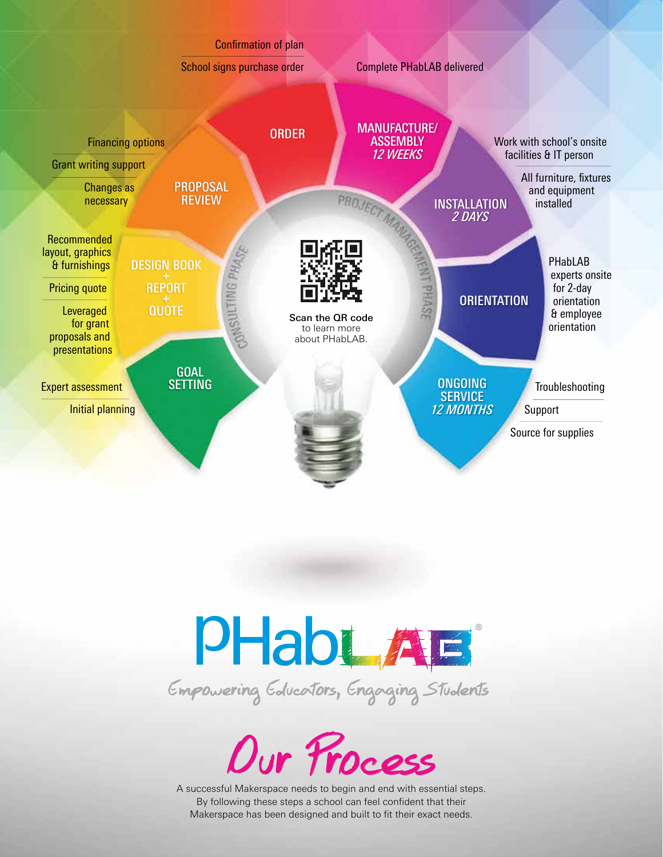





A successful Makerspace needs to begin and end with essential steps. By following these steps a school can feel confident that their Makerspace has been designed and built to fit their exact needs.